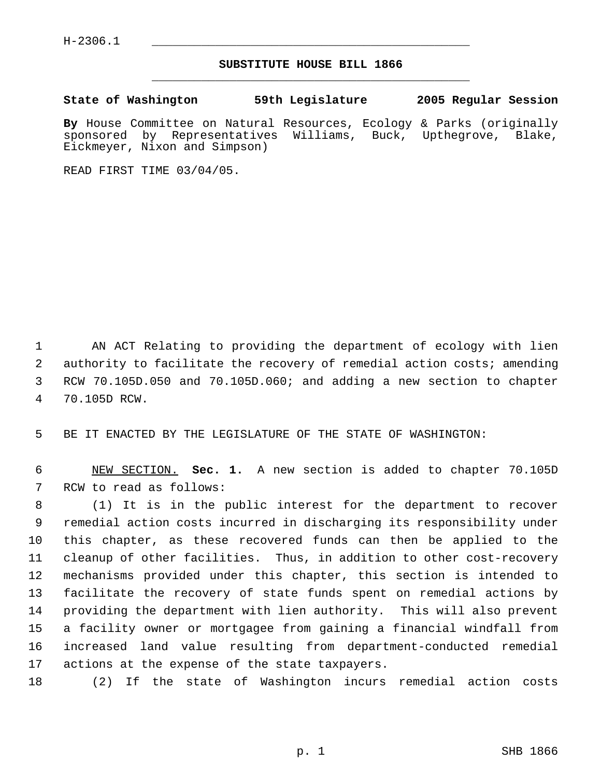H-2306.1 \_\_\_\_\_\_\_\_\_\_\_\_\_\_\_\_\_\_\_\_\_\_\_\_\_\_\_\_\_\_\_\_\_\_\_\_\_\_\_\_\_\_\_\_\_

## **SUBSTITUTE HOUSE BILL 1866** \_\_\_\_\_\_\_\_\_\_\_\_\_\_\_\_\_\_\_\_\_\_\_\_\_\_\_\_\_\_\_\_\_\_\_\_\_\_\_\_\_\_\_\_\_

**State of Washington 59th Legislature 2005 Regular Session**

**By** House Committee on Natural Resources, Ecology & Parks (originally sponsored by Representatives Williams, Buck, Upthegrove, Blake, Eickmeyer, Nixon and Simpson)

READ FIRST TIME 03/04/05.

 AN ACT Relating to providing the department of ecology with lien 2 authority to facilitate the recovery of remedial action costs; amending RCW 70.105D.050 and 70.105D.060; and adding a new section to chapter 70.105D RCW.

BE IT ENACTED BY THE LEGISLATURE OF THE STATE OF WASHINGTON:

 NEW SECTION. **Sec. 1.** A new section is added to chapter 70.105D RCW to read as follows:

 (1) It is in the public interest for the department to recover remedial action costs incurred in discharging its responsibility under this chapter, as these recovered funds can then be applied to the cleanup of other facilities. Thus, in addition to other cost-recovery mechanisms provided under this chapter, this section is intended to facilitate the recovery of state funds spent on remedial actions by providing the department with lien authority. This will also prevent a facility owner or mortgagee from gaining a financial windfall from increased land value resulting from department-conducted remedial actions at the expense of the state taxpayers.

(2) If the state of Washington incurs remedial action costs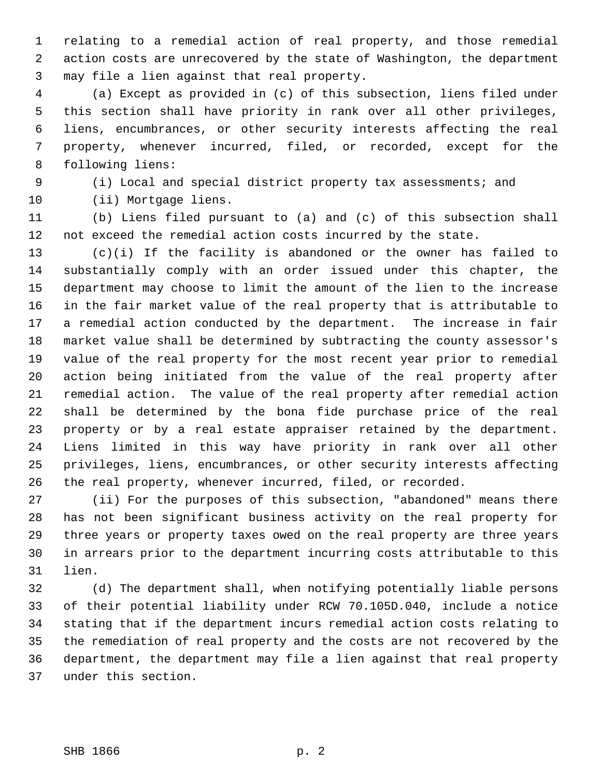relating to a remedial action of real property, and those remedial action costs are unrecovered by the state of Washington, the department may file a lien against that real property.

 (a) Except as provided in (c) of this subsection, liens filed under this section shall have priority in rank over all other privileges, liens, encumbrances, or other security interests affecting the real property, whenever incurred, filed, or recorded, except for the following liens:

(i) Local and special district property tax assessments; and

(ii) Mortgage liens.

 (b) Liens filed pursuant to (a) and (c) of this subsection shall not exceed the remedial action costs incurred by the state.

 (c)(i) If the facility is abandoned or the owner has failed to substantially comply with an order issued under this chapter, the department may choose to limit the amount of the lien to the increase in the fair market value of the real property that is attributable to a remedial action conducted by the department. The increase in fair market value shall be determined by subtracting the county assessor's value of the real property for the most recent year prior to remedial action being initiated from the value of the real property after remedial action. The value of the real property after remedial action shall be determined by the bona fide purchase price of the real property or by a real estate appraiser retained by the department. Liens limited in this way have priority in rank over all other privileges, liens, encumbrances, or other security interests affecting the real property, whenever incurred, filed, or recorded.

 (ii) For the purposes of this subsection, "abandoned" means there has not been significant business activity on the real property for three years or property taxes owed on the real property are three years in arrears prior to the department incurring costs attributable to this lien.

 (d) The department shall, when notifying potentially liable persons of their potential liability under RCW 70.105D.040, include a notice stating that if the department incurs remedial action costs relating to the remediation of real property and the costs are not recovered by the department, the department may file a lien against that real property under this section.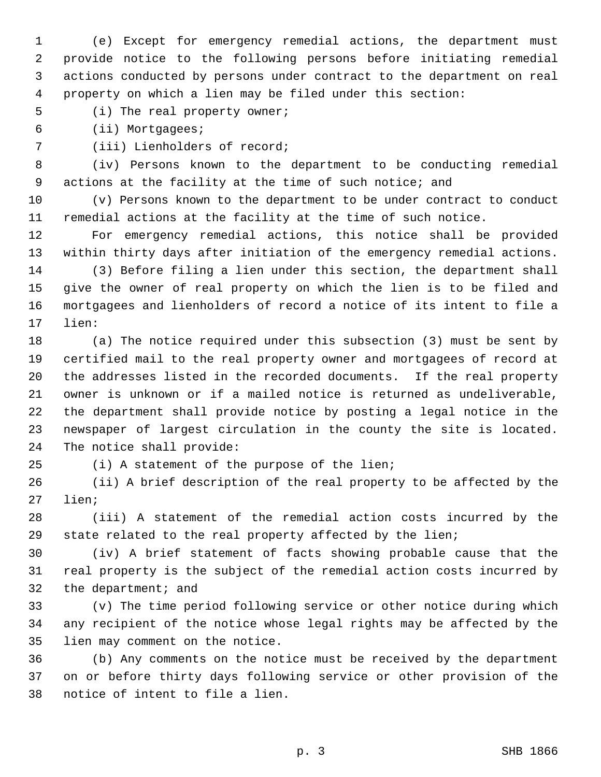(e) Except for emergency remedial actions, the department must provide notice to the following persons before initiating remedial actions conducted by persons under contract to the department on real property on which a lien may be filed under this section:

(i) The real property owner;

(ii) Mortgagees;

(iii) Lienholders of record;

 (iv) Persons known to the department to be conducting remedial actions at the facility at the time of such notice; and

 (v) Persons known to the department to be under contract to conduct remedial actions at the facility at the time of such notice.

 For emergency remedial actions, this notice shall be provided within thirty days after initiation of the emergency remedial actions.

 (3) Before filing a lien under this section, the department shall give the owner of real property on which the lien is to be filed and mortgagees and lienholders of record a notice of its intent to file a lien:

 (a) The notice required under this subsection (3) must be sent by certified mail to the real property owner and mortgagees of record at the addresses listed in the recorded documents. If the real property owner is unknown or if a mailed notice is returned as undeliverable, the department shall provide notice by posting a legal notice in the newspaper of largest circulation in the county the site is located. The notice shall provide:

(i) A statement of the purpose of the lien;

 (ii) A brief description of the real property to be affected by the lien;

 (iii) A statement of the remedial action costs incurred by the state related to the real property affected by the lien;

 (iv) A brief statement of facts showing probable cause that the real property is the subject of the remedial action costs incurred by the department; and

 (v) The time period following service or other notice during which any recipient of the notice whose legal rights may be affected by the lien may comment on the notice.

 (b) Any comments on the notice must be received by the department on or before thirty days following service or other provision of the notice of intent to file a lien.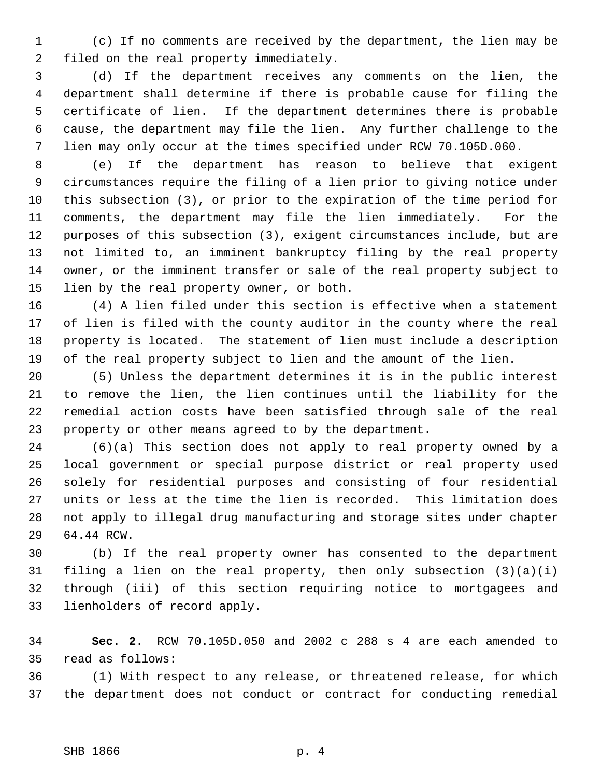(c) If no comments are received by the department, the lien may be filed on the real property immediately.

 (d) If the department receives any comments on the lien, the department shall determine if there is probable cause for filing the certificate of lien. If the department determines there is probable cause, the department may file the lien. Any further challenge to the lien may only occur at the times specified under RCW 70.105D.060.

 (e) If the department has reason to believe that exigent circumstances require the filing of a lien prior to giving notice under this subsection (3), or prior to the expiration of the time period for comments, the department may file the lien immediately. For the purposes of this subsection (3), exigent circumstances include, but are not limited to, an imminent bankruptcy filing by the real property owner, or the imminent transfer or sale of the real property subject to lien by the real property owner, or both.

 (4) A lien filed under this section is effective when a statement of lien is filed with the county auditor in the county where the real property is located. The statement of lien must include a description of the real property subject to lien and the amount of the lien.

 (5) Unless the department determines it is in the public interest to remove the lien, the lien continues until the liability for the remedial action costs have been satisfied through sale of the real property or other means agreed to by the department.

 (6)(a) This section does not apply to real property owned by a local government or special purpose district or real property used solely for residential purposes and consisting of four residential units or less at the time the lien is recorded. This limitation does not apply to illegal drug manufacturing and storage sites under chapter 64.44 RCW.

 (b) If the real property owner has consented to the department filing a lien on the real property, then only subsection (3)(a)(i) through (iii) of this section requiring notice to mortgagees and lienholders of record apply.

 **Sec. 2.** RCW 70.105D.050 and 2002 c 288 s 4 are each amended to read as follows:

 (1) With respect to any release, or threatened release, for which the department does not conduct or contract for conducting remedial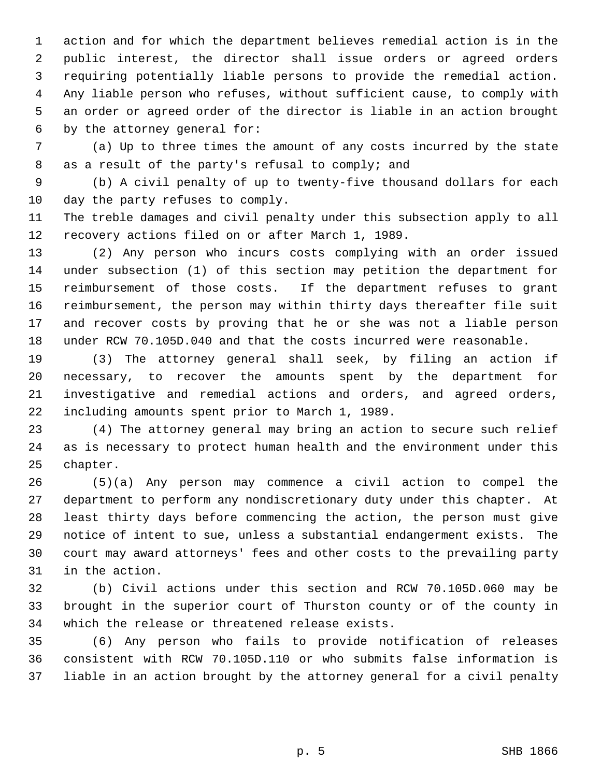action and for which the department believes remedial action is in the public interest, the director shall issue orders or agreed orders requiring potentially liable persons to provide the remedial action. Any liable person who refuses, without sufficient cause, to comply with an order or agreed order of the director is liable in an action brought by the attorney general for:

 (a) Up to three times the amount of any costs incurred by the state as a result of the party's refusal to comply; and

 (b) A civil penalty of up to twenty-five thousand dollars for each day the party refuses to comply.

 The treble damages and civil penalty under this subsection apply to all recovery actions filed on or after March 1, 1989.

 (2) Any person who incurs costs complying with an order issued under subsection (1) of this section may petition the department for reimbursement of those costs. If the department refuses to grant reimbursement, the person may within thirty days thereafter file suit and recover costs by proving that he or she was not a liable person under RCW 70.105D.040 and that the costs incurred were reasonable.

 (3) The attorney general shall seek, by filing an action if necessary, to recover the amounts spent by the department for investigative and remedial actions and orders, and agreed orders, including amounts spent prior to March 1, 1989.

 (4) The attorney general may bring an action to secure such relief as is necessary to protect human health and the environment under this chapter.

 (5)(a) Any person may commence a civil action to compel the department to perform any nondiscretionary duty under this chapter. At least thirty days before commencing the action, the person must give notice of intent to sue, unless a substantial endangerment exists. The court may award attorneys' fees and other costs to the prevailing party in the action.

 (b) Civil actions under this section and RCW 70.105D.060 may be brought in the superior court of Thurston county or of the county in which the release or threatened release exists.

 (6) Any person who fails to provide notification of releases consistent with RCW 70.105D.110 or who submits false information is liable in an action brought by the attorney general for a civil penalty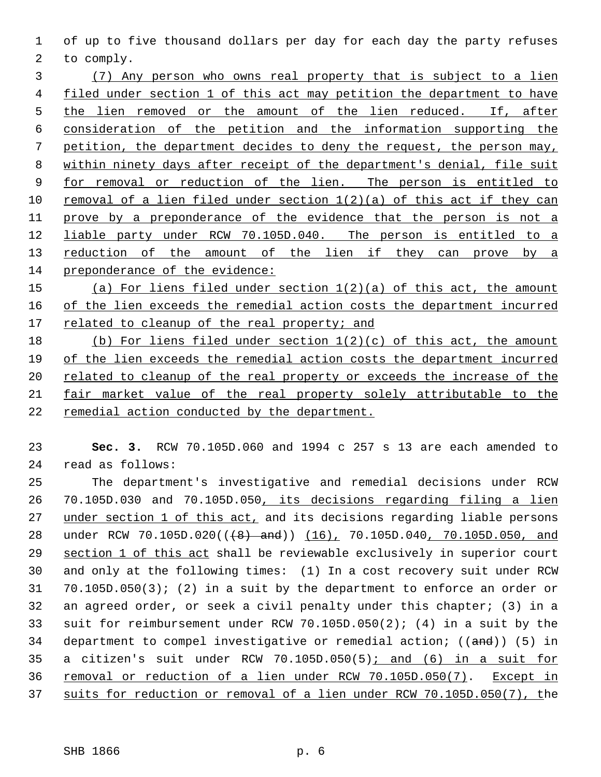of up to five thousand dollars per day for each day the party refuses to comply.

 (7) Any person who owns real property that is subject to a lien filed under section 1 of this act may petition the department to have 5 the lien removed or the amount of the lien reduced. If, after consideration of the petition and the information supporting the petition, the department decides to deny the request, the person may, within ninety days after receipt of the department's denial, file suit for removal or reduction of the lien. The person is entitled to removal of a lien filed under section 1(2)(a) of this act if they can prove by a preponderance of the evidence that the person is not a liable party under RCW 70.105D.040. The person is entitled to a 13 reduction of the amount of the lien if they can prove by a preponderance of the evidence:

 (a) For liens filed under section 1(2)(a) of this act, the amount 16 of the lien exceeds the remedial action costs the department incurred 17 related to cleanup of the real property; and

 (b) For liens filed under section 1(2)(c) of this act, the amount of the lien exceeds the remedial action costs the department incurred 20 related to cleanup of the real property or exceeds the increase of the fair market value of the real property solely attributable to the remedial action conducted by the department.

 **Sec. 3.** RCW 70.105D.060 and 1994 c 257 s 13 are each amended to read as follows:

 The department's investigative and remedial decisions under RCW 70.105D.030 and 70.105D.050, its decisions regarding filing a lien 27 under section 1 of this act, and its decisions regarding liable persons 28 under RCW 70.105D.020((<del>(8) and</del>)) (16), 70.105D.040, 70.105D.050, and 29 section 1 of this act shall be reviewable exclusively in superior court and only at the following times: (1) In a cost recovery suit under RCW 70.105D.050(3); (2) in a suit by the department to enforce an order or an agreed order, or seek a civil penalty under this chapter; (3) in a suit for reimbursement under RCW 70.105D.050(2); (4) in a suit by the 34 department to compel investigative or remedial action; ((and)) (5) in a citizen's suit under RCW 70.105D.050(5); and (6) in a suit for 36 removal or reduction of a lien under RCW 70.105D.050(7). Except in suits for reduction or removal of a lien under RCW 70.105D.050(7), the